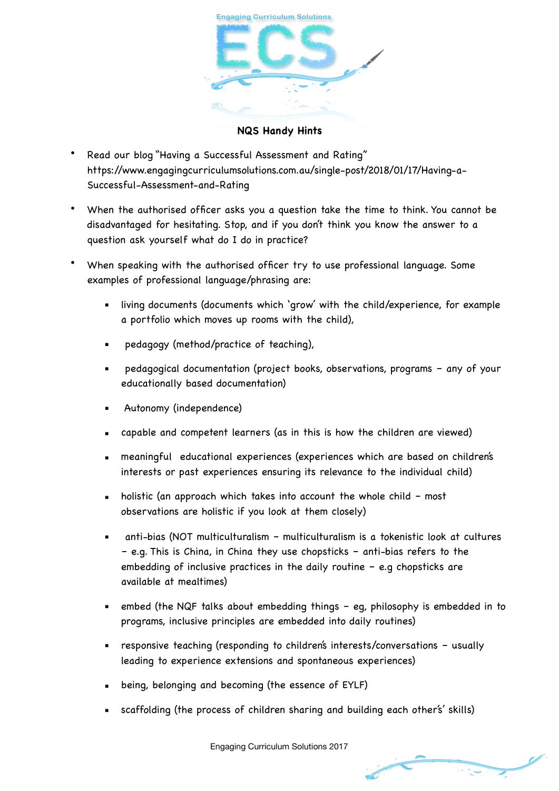

**NQS Handy Hints**

- Read our blog "Having a Successful Assessment and Rating" https://www.engagingcurriculumsolutions.com.au/single-post/2018/01/17/Having-a-Successful-Assessment-and-Rating
- When the authorised officer asks you a question take the time to think. You cannot be disadvantaged for hesitating. Stop, and if you don't think you know the answer to a question ask yourself what do I do in practice?
- When speaking with the authorised officer try to use professional language. Some examples of professional language/phrasing are:
	- living documents (documents which 'grow' with the child/experience, for example a portfolio which moves up rooms with the child),
	- pedagogy (method/practice of teaching),
	- pedagogical documentation (project books, observations, programs any of your educationally based documentation)
	- Autonomy (independence)
	- capable and competent learners (as in this is how the children are viewed)
	- meaningful educational experiences (experiences which are based on children's interests or past experiences ensuring its relevance to the individual child)
	- $\blacksquare$  holistic (an approach which takes into account the whole child most observations are holistic if you look at them closely)
	- anti-bias (NOT multiculturalism multiculturalism is a tokenistic look at cultures – e.g. This is China, in China they use chopsticks – anti-bias refers to the embedding of inclusive practices in the daily routine – e.g chopsticks are available at mealtimes)
	- embed (the NQF talks about embedding things  $-$  eg, philosophy is embedded in to programs, inclusive principles are embedded into daily routines)
	- responsive teaching (responding to children's interests/conversations usually leading to experience extensions and spontaneous experiences)
	- being, belonging and becoming (the essence of EYLF)
	- scaffolding (the process of children sharing and building each other's' skills)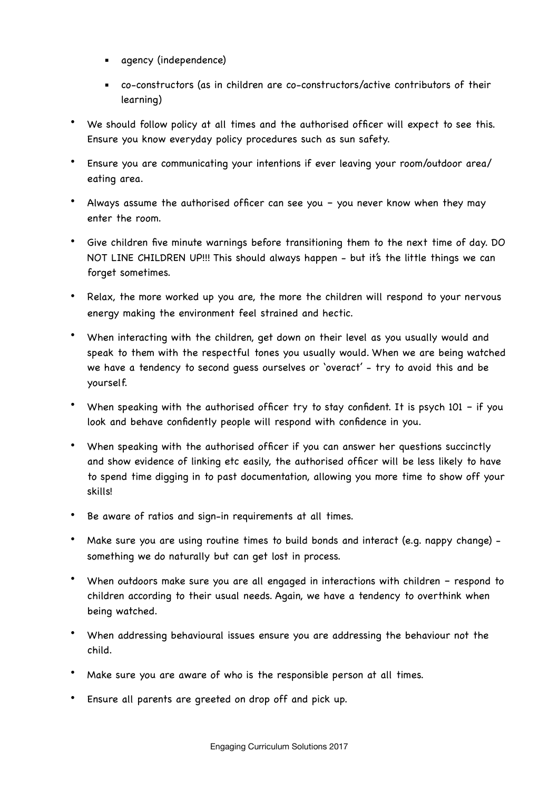- agency (independence)
- co-constructors (as in children are co-constructors/active contributors of their learning)
- We should follow policy at all times and the authorised officer will expect to see this. Ensure you know everyday policy procedures such as sun safety.
- Ensure you are communicating your intentions if ever leaving your room/outdoor area/ eating area.
- Always assume the authorised officer can see you you never know when they may enter the room.
- Give children five minute warnings before transitioning them to the next time of day. DO NOT LINE CHILDREN UP!!! This should always happen - but it's the little things we can forget sometimes.
- Relax, the more worked up you are, the more the children will respond to your nervous energy making the environment feel strained and hectic.
- When interacting with the children, get down on their level as you usually would and speak to them with the respectful tones you usually would. When we are being watched we have a tendency to second guess ourselves or 'overact' - try to avoid this and be yourself.
- When speaking with the authorised officer try to stay confident. It is psych  $101 if$  you look and behave confidently people will respond with confidence in you.
- When speaking with the authorised officer if you can answer her questions succinctly and show evidence of linking etc easily, the authorised officer will be less likely to have to spend time digging in to past documentation, allowing you more time to show off your skills!
- Be aware of ratios and sign-in requirements at all times.
- Make sure you are using routine times to build bonds and interact (e.g. nappy change) something we do naturally but can get lost in process.
- When outdoors make sure you are all engaged in interactions with children respond to children according to their usual needs. Again, we have a tendency to overthink when being watched.
- When addressing behavioural issues ensure you are addressing the behaviour not the child.
- Make sure you are aware of who is the responsible person at all times.
- Ensure all parents are greeted on drop off and pick up.